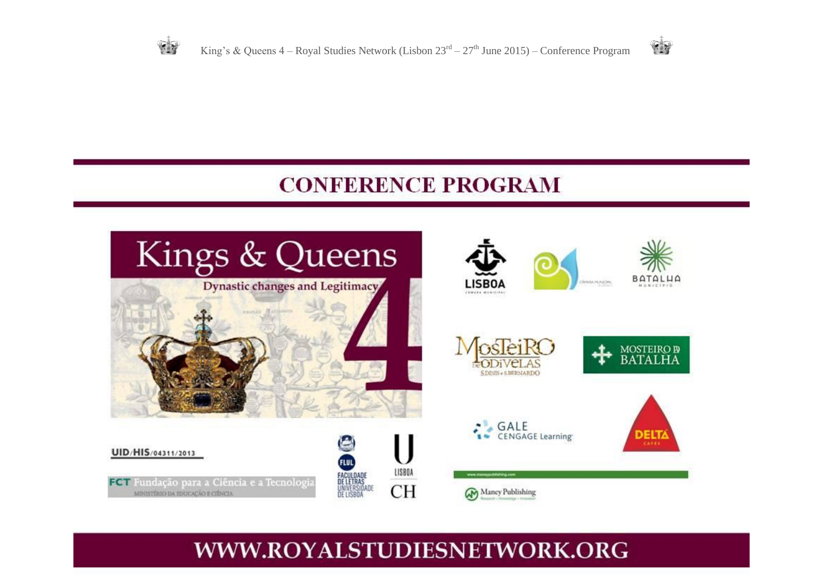

# **CONFERENCE PROGRAM**



# WWW.ROYALSTUDIESNETWORK.ORG

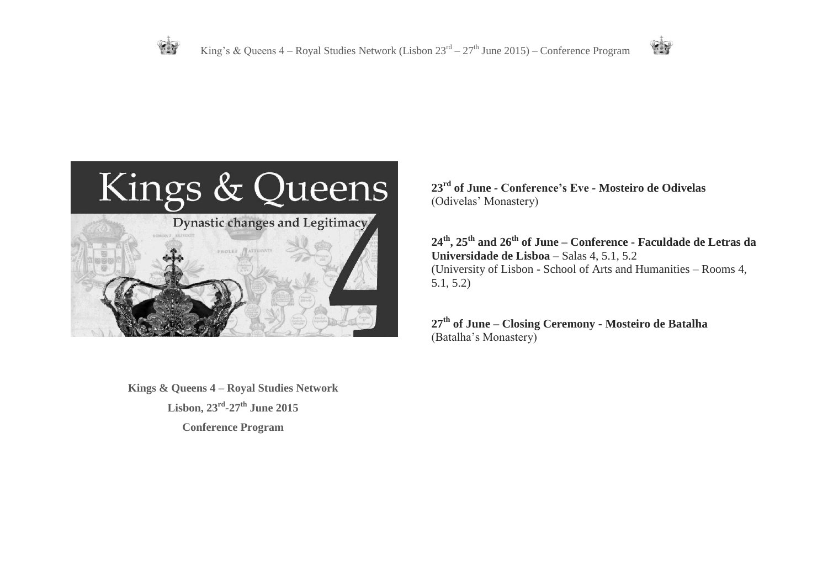

**23rd of June** *-* **Conference's Eve** *-* **Mosteiro de Odivelas**  (Odivelas' Monastery)

**24th, 25th and 26th of June** *–* **Conference - Faculdade de Letras da Universidade de Lisboa** – Salas 4, 5.1, 5.2 (University of Lisbon - School of Arts and Humanities – Rooms 4, 5.1, 5.2)

**CEY** 

**27th of June** *–* **Closing Ceremony - Mosteiro de Batalha** (Batalha's Monastery)

**Kings & Queens 4 – Royal Studies Network Lisbon, 23rd -27th June 2015 Conference Program**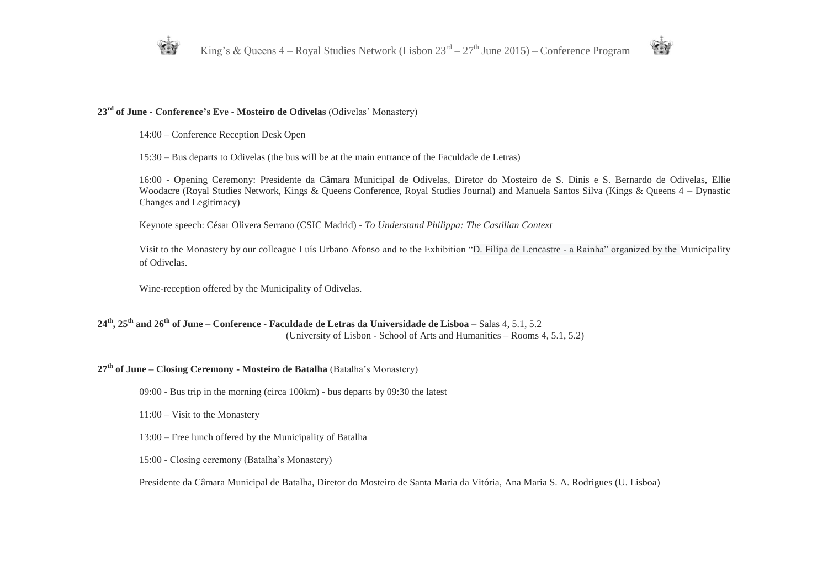



#### **23rd of June** *-* **Conference's Eve** *-* **Mosteiro de Odivelas** (Odivelas' Monastery)

14:00 – Conference Reception Desk Open

15:30 – Bus departs to Odivelas (the bus will be at the main entrance of the Faculdade de Letras)

16:00 - Opening Ceremony: Presidente da Câmara Municipal de Odivelas, Diretor do Mosteiro de S. Dinis e S. Bernardo de Odivelas, Ellie Woodacre (Royal Studies Network, Kings & Queens Conference, Royal Studies Journal) and Manuela Santos Silva (Kings & Queens 4 – Dynastic Changes and Legitimacy)

Keynote speech: César Olivera Serrano (CSIC Madrid) - *To Understand Philippa: The Castilian Context*

Visit to the Monastery by our colleague Luís Urbano Afonso and to the Exhibition "D. Filipa de Lencastre - a Rainha" organized by the Municipality of Odivelas.

Wine-reception offered by the Municipality of Odivelas.

#### **24th, 25th and 26th of June** *–* **Conference - Faculdade de Letras da Universidade de Lisboa** – Salas 4, 5.1, 5.2 (University of Lisbon - School of Arts and Humanities – Rooms 4, 5.1, 5.2)

## **27th of June** *–* **Closing Ceremony - Mosteiro de Batalha** (Batalha's Monastery)

09:00 - Bus trip in the morning (circa 100km) - bus departs by 09:30 the latest

11:00 – Visit to the Monastery

13:00 – Free lunch offered by the Municipality of Batalha

15:00 - Closing ceremony (Batalha's Monastery)

Presidente da Câmara Municipal de Batalha, Diretor do Mosteiro de Santa Maria da Vitória, Ana Maria S. A. Rodrigues (U. Lisboa)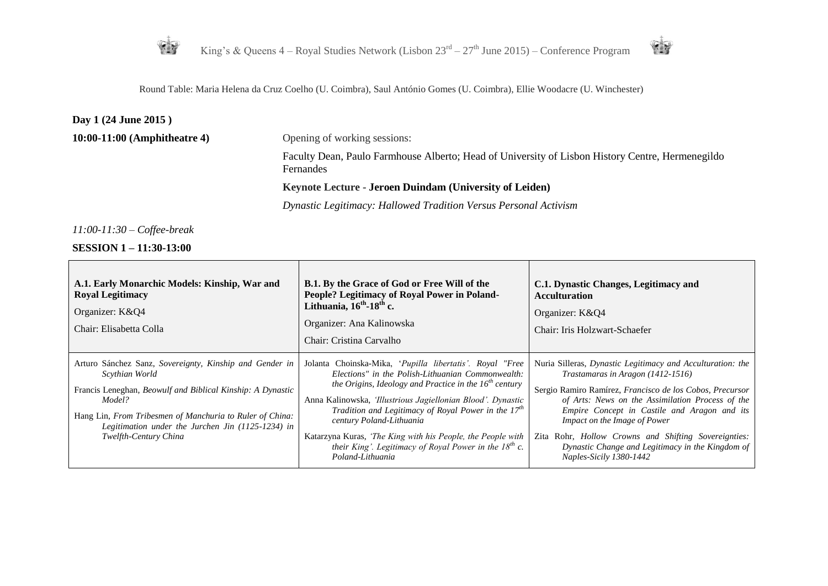



Round Table: Maria Helena da Cruz Coelho (U. Coimbra), Saul António Gomes (U. Coimbra), Ellie Woodacre (U. Winchester)

### **Day 1 (24 June 2015 )**

**10:00-11:00 (Amphitheatre 4)** Opening of working sessions:

Faculty Dean, Paulo Farmhouse Alberto; Head of University of Lisbon History Centre, Hermenegildo Fernandes

#### **Keynote Lecture - Jeroen Duindam (University of Leiden)**

*Dynastic Legitimacy: Hallowed Tradition Versus Personal Activism*

*11:00-11:30 – Coffee-break*

**SESSION 1 – 11:30-13:00**

 $\blacksquare$ 

| A.1. Early Monarchic Models: Kinship, War and<br><b>Royal Legitimacy</b><br>Organizer: K&Q4<br>Chair: Elisabetta Colla                                                                                                                                                                             | <b>B.1.</b> By the Grace of God or Free Will of the<br>People? Legitimacy of Royal Power in Poland-<br>Lithuania, $16^{th}$ -18 <sup>th</sup> c.<br>Organizer: Ana Kalinowska<br>Chair: Cristina Carvalho                                                                                                                                                                                                                                                                         | C.1. Dynastic Changes, Legitimacy and<br><b>Acculturation</b><br>Organizer: K&Q4<br>Chair: Iris Holzwart-Schaefer                                                                                                                                                                                                                                                                                                                              |
|----------------------------------------------------------------------------------------------------------------------------------------------------------------------------------------------------------------------------------------------------------------------------------------------------|-----------------------------------------------------------------------------------------------------------------------------------------------------------------------------------------------------------------------------------------------------------------------------------------------------------------------------------------------------------------------------------------------------------------------------------------------------------------------------------|------------------------------------------------------------------------------------------------------------------------------------------------------------------------------------------------------------------------------------------------------------------------------------------------------------------------------------------------------------------------------------------------------------------------------------------------|
| Arturo Sánchez Sanz, Sovereignty, Kinship and Gender in<br>Scythian World<br>Francis Leneghan, <i>Beowulf and Biblical Kinship: A Dynastic</i><br>Model?<br>Hang Lin, From Tribesmen of Manchuria to Ruler of China:<br>Legitimation under the Jurchen Jin (1125-1234) in<br>Twelfth-Century China | Jolanta Choinska-Mika, 'Pupilla libertatis'. Royal "Free<br>Elections" in the Polish-Lithuanian Commonwealth:<br>the Origins, Ideology and Practice in the $16^{th}$ century<br>Anna Kalinowska, 'Illustrious Jagiellonian Blood'. Dynastic<br>Tradition and Legitimacy of Royal Power in the $17th$<br>century Poland-Lithuania<br>Katarzyna Kuras, 'The King with his People, the People with<br>their King'. Legitimacy of Royal Power in the $18^{th}$ c.<br>Poland-Lithuania | Nuria Silleras, Dynastic Legitimacy and Acculturation: the<br>Trastamaras in Aragon (1412-1516)<br>Sergio Ramiro Ramírez, Francisco de los Cobos, Precursor<br>of Arts: News on the Assimilation Process of the<br>Empire Concept in Castile and Aragon and its<br>Impact on the Image of Power<br>Zita Rohr, <i>Hollow Crowns and Shifting Sovereignties</i> :<br>Dynastic Change and Legitimacy in the Kingdom of<br>Naples-Sicily 1380-1442 |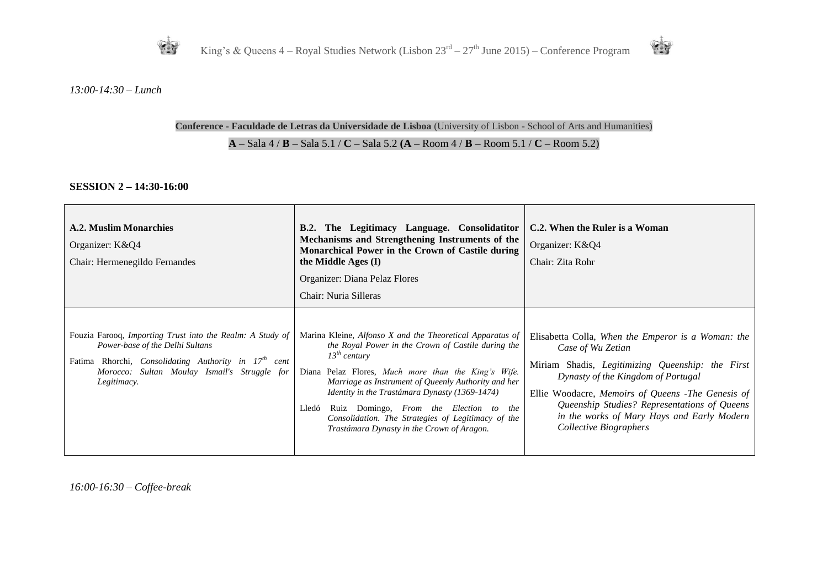



*13:00-14:30 – Lunch*

#### **Conference - Faculdade de Letras da Universidade de Lisboa** (University of Lisbon - School of Arts and Humanities)

#### **A** – Sala 4 / **B** – Sala 5.1 / **C** – Sala 5.2 **(A** – Room 4 / **B** – Room 5.1 / **C** – Room 5.2)

#### **SESSION 2 – 14:30-16:00**

| A.2. Muslim Monarchies<br>Organizer: K&Q4<br>Chair: Hermenegildo Fernandes                                                                                                                                                      | The Legitimacy Language. Consolidatitor<br>B.2.<br>Mechanisms and Strengthening Instruments of the<br>Monarchical Power in the Crown of Castile during<br>the Middle Ages (I)<br>Organizer: Diana Pelaz Flores<br>Chair: Nuria Silleras                                                                                                                                                                                                                     | C.2. When the Ruler is a Woman<br>Organizer: K&Q4<br>Chair: Zita Rohr                                                                                                                                                                                                                                                                          |
|---------------------------------------------------------------------------------------------------------------------------------------------------------------------------------------------------------------------------------|-------------------------------------------------------------------------------------------------------------------------------------------------------------------------------------------------------------------------------------------------------------------------------------------------------------------------------------------------------------------------------------------------------------------------------------------------------------|------------------------------------------------------------------------------------------------------------------------------------------------------------------------------------------------------------------------------------------------------------------------------------------------------------------------------------------------|
| Fouzia Farooq, Importing Trust into the Realm: A Study of<br>Power-base of the Delhi Sultans<br>Fatima Rhorchi, Consolidating Authority in 17 <sup>th</sup> cent<br>Morocco: Sultan Moulay Ismail's Struggle for<br>Legitimacy. | Marina Kleine, Alfonso X and the Theoretical Apparatus of<br>the Royal Power in the Crown of Castile during the<br>$13^{th}$ century<br>Diana Pelaz Flores, Much more than the King's Wife.<br>Marriage as Instrument of Queenly Authority and her<br>Identity in the Trastámara Dynasty (1369-1474)<br>Ruiz Domingo, From the Election to the<br>Lledó<br>Consolidation. The Strategies of Legitimacy of the<br>Trastámara Dynasty in the Crown of Aragon. | Elisabetta Colla, When the Emperor is a Woman: the<br>Case of Wu Zetian<br>Miriam Shadis, Legitimizing Queenship: the First<br>Dynasty of the Kingdom of Portugal<br>Ellie Woodacre, Memoirs of Queens -The Genesis of<br>Queenship Studies? Representations of Queens<br>in the works of Mary Hays and Early Modern<br>Collective Biographers |

*16:00-16:30 – Coffee-break*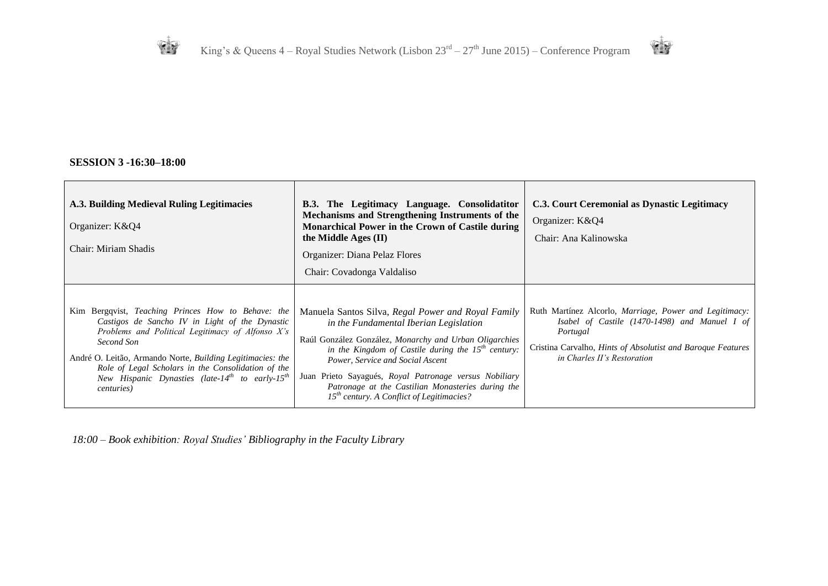



## **SESSION 3 -16:30–18:00**

| A.3. Building Medieval Ruling Legitimacies<br>Organizer: K&Q4<br>Chair: Miriam Shadis                                                                                                                                                                                                                                                                                                       | The Legitimacy Language. Consolidatitor<br><b>B.3.</b><br>Mechanisms and Strengthening Instruments of the<br>Monarchical Power in the Crown of Castile during<br>the Middle Ages (II)<br>Organizer: Diana Pelaz Flores<br>Chair: Covadonga Valdaliso                                                                                                                                                                | C.3. Court Ceremonial as Dynastic Legitimacy<br>Organizer: K&Q4<br>Chair: Ana Kalinowska                                                                                                                                   |
|---------------------------------------------------------------------------------------------------------------------------------------------------------------------------------------------------------------------------------------------------------------------------------------------------------------------------------------------------------------------------------------------|---------------------------------------------------------------------------------------------------------------------------------------------------------------------------------------------------------------------------------------------------------------------------------------------------------------------------------------------------------------------------------------------------------------------|----------------------------------------------------------------------------------------------------------------------------------------------------------------------------------------------------------------------------|
| Kim Bergqvist, Teaching Princes How to Behave: the<br>Castigos de Sancho IV in Light of the Dynastic<br>Problems and Political Legitimacy of Alfonso X's<br>Second Son<br>André O. Leitão, Armando Norte, Building Legitimacies: the<br>Role of Legal Scholars in the Consolidation of the<br>New Hispanic Dynasties (late-14 <sup>th</sup> to early-15 <sup>th</sup><br><i>centuries</i> ) | Manuela Santos Silva, Regal Power and Royal Family<br>in the Fundamental Iberian Legislation<br>Raúl González González, Monarchy and Urban Oligarchies<br>in the Kingdom of Castile during the $15^{th}$ century:<br>Power, Service and Social Ascent<br>Juan Prieto Sayagués, Royal Patronage versus Nobiliary<br>Patronage at the Castilian Monasteries during the<br>$15th$ century. A Conflict of Legitimacies? | Ruth Martínez Alcorlo, Marriage, Power and Legitimacy:<br>Isabel of Castile $(1470-1498)$ and Manuel I of<br>Portugal<br>Cristina Carvalho, <i>Hints of Absolutist and Baroque Features</i><br>in Charles II's Restoration |

*18:00 – Book exhibition: Royal Studies' Bibliography in the Faculty Library*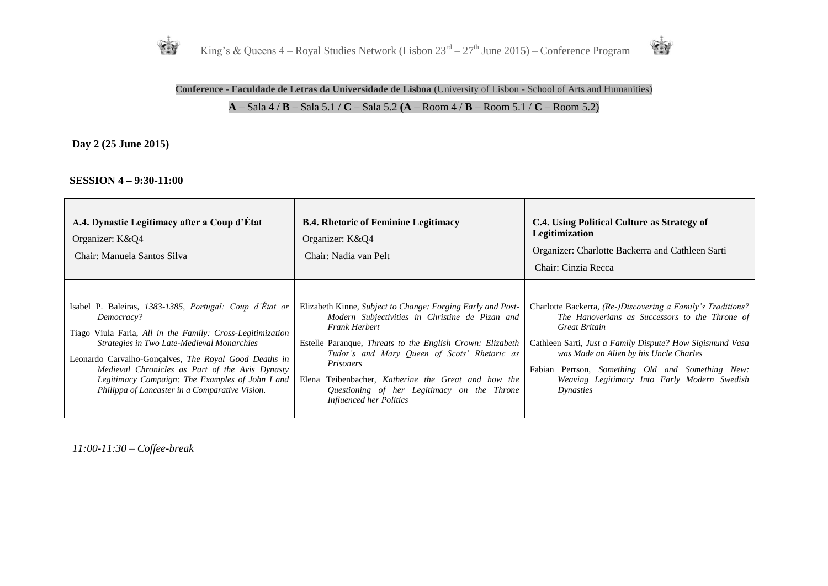



## **Conference - Faculdade de Letras da Universidade de Lisboa** (University of Lisbon - School of Arts and Humanities) **A** – Sala 4 / **B** – Sala 5.1 / **C** – Sala 5.2 **(A** – Room 4 / **B** – Room 5.1 / **C** – Room 5.2)

**Day 2 (25 June 2015)**

#### **SESSION 4 – 9:30-11:00**

| A.4. Dynastic Legitimacy after a Coup d'État<br>Organizer: K&Q4<br>Chair: Manuela Santos Silva                                                                                                                                                                                                                                                                                                     | <b>B.4. Rhetoric of Feminine Legitimacy</b><br>Organizer: K&Q4<br>Chair: Nadia van Pelt                                                                                                                                                                                                                                                                                                                            | C.4. Using Political Culture as Strategy of<br>Legitimization<br>Organizer: Charlotte Backerra and Cathleen Sarti<br>Chair: Cinzia Recca                                                                                                                                                                                                               |
|----------------------------------------------------------------------------------------------------------------------------------------------------------------------------------------------------------------------------------------------------------------------------------------------------------------------------------------------------------------------------------------------------|--------------------------------------------------------------------------------------------------------------------------------------------------------------------------------------------------------------------------------------------------------------------------------------------------------------------------------------------------------------------------------------------------------------------|--------------------------------------------------------------------------------------------------------------------------------------------------------------------------------------------------------------------------------------------------------------------------------------------------------------------------------------------------------|
| Isabel P. Baleiras, 1383-1385, Portugal: Coup d'État or<br>Democracy?<br>Tiago Viula Faria, All in the Family: Cross-Legitimization<br>Strategies in Two Late-Medieval Monarchies<br>Leonardo Carvalho-Gonçalves, The Royal Good Deaths in<br>Medieval Chronicles as Part of the Avis Dynasty<br>Legitimacy Campaign: The Examples of John I and<br>Philippa of Lancaster in a Comparative Vision. | Elizabeth Kinne, Subject to Change: Forging Early and Post-<br>Modern Subjectivities in Christine de Pizan and<br><b>Frank Herbert</b><br>Estelle Paranque, <i>Threats to the English Crown: Elizabeth</i><br>Tudor's and Mary Queen of Scots' Rhetoric as<br>Prisoners<br>Elena<br>Teibenbacher, Katherine the Great and how the<br>Questioning of her Legitimacy on the Throne<br><b>Influenced her Politics</b> | Charlotte Backerra, (Re-)Discovering a Family's Traditions?<br>The Hanoverians as Successors to the Throne of<br>Great Britain<br>Cathleen Sarti, Just a Family Dispute? How Sigismund Vasa<br>was Made an Alien by his Uncle Charles<br>Fabian Perrson, Something Old and Something New:<br>Weaving Legitimacy Into Early Modern Swedish<br>Dynasties |

*11:00-11:30 – Coffee-break*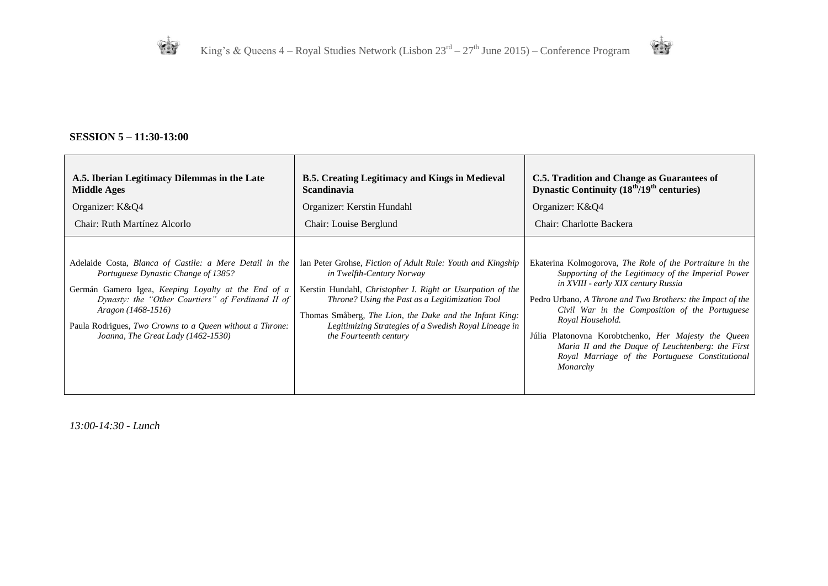

## **SESSION 5 – 11:30-13:00**

| A.5. Iberian Legitimacy Dilemmas in the Late                                                                                                                                                                                                                                                                                       | <b>B.5. Creating Legitimacy and Kings in Medieval</b>                                                                                                                                                                                                                                                                                                   | C.5. Tradition and Change as Guarantees of                                                                                                                                                                                                                                                                                                                                                                                                                             |
|------------------------------------------------------------------------------------------------------------------------------------------------------------------------------------------------------------------------------------------------------------------------------------------------------------------------------------|---------------------------------------------------------------------------------------------------------------------------------------------------------------------------------------------------------------------------------------------------------------------------------------------------------------------------------------------------------|------------------------------------------------------------------------------------------------------------------------------------------------------------------------------------------------------------------------------------------------------------------------------------------------------------------------------------------------------------------------------------------------------------------------------------------------------------------------|
| <b>Middle Ages</b>                                                                                                                                                                                                                                                                                                                 | <b>Scandinavia</b>                                                                                                                                                                                                                                                                                                                                      | Dynastic Continuity $(18th/19th$ centuries)                                                                                                                                                                                                                                                                                                                                                                                                                            |
| Organizer: K&Q4                                                                                                                                                                                                                                                                                                                    | Organizer: Kerstin Hundahl                                                                                                                                                                                                                                                                                                                              | Organizer: K&Q4                                                                                                                                                                                                                                                                                                                                                                                                                                                        |
| Chair: Ruth Martínez Alcorlo                                                                                                                                                                                                                                                                                                       | Chair: Louise Berglund                                                                                                                                                                                                                                                                                                                                  | Chair: Charlotte Backera                                                                                                                                                                                                                                                                                                                                                                                                                                               |
| Adelaide Costa, Blanca of Castile: a Mere Detail in the<br>Portuguese Dynastic Change of 1385?<br>Germán Gamero Igea, Keeping Loyalty at the End of a<br>Dynasty: the "Other Courtiers" of Ferdinand II of<br>Aragon (1468-1516)<br>Paula Rodrigues, Two Crowns to a Queen without a Throne:<br>Joanna, The Great Lady (1462-1530) | Ian Peter Grohse, Fiction of Adult Rule: Youth and Kingship<br>in Twelfth-Century Norway<br>Kerstin Hundahl, Christopher I. Right or Usurpation of the<br>Throne? Using the Past as a Legitimization Tool<br>Thomas Småberg, The Lion, the Duke and the Infant King:<br>Legitimizing Strategies of a Swedish Royal Lineage in<br>the Fourteenth century | Ekaterina Kolmogorova, The Role of the Portraiture in the<br>Supporting of the Legitimacy of the Imperial Power<br>in XVIII - early XIX century Russia<br>Pedro Urbano, A Throne and Two Brothers: the Impact of the<br>Civil War in the Composition of the Portuguese<br>Royal Household.<br>Júlia Platonovna Korobtchenko, Her Majesty the Queen<br>Maria II and the Duque of Leuchtenberg: the First<br>Royal Marriage of the Portuguese Constitutional<br>Monarchy |

*13:00-14:30 - Lunch*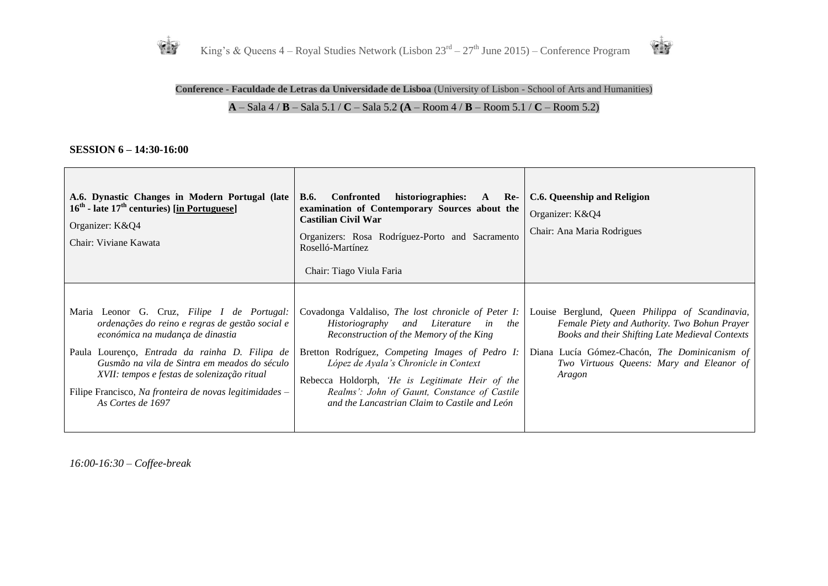



**Conference - Faculdade de Letras da Universidade de Lisboa** (University of Lisbon - School of Arts and Humanities)

## **A** – Sala 4 / **B** – Sala 5.1 / **C** – Sala 5.2 **(A** – Room 4 / **B** – Room 5.1 / **C** – Room 5.2)

#### **SESSION 6 – 14:30-16:00**

| A.6. Dynastic Changes in Modern Portugal (late<br>$16th$ - late $17th$ centuries) [in Portuguese]<br>Organizer: K&Q4<br>Chair: Viviane Kawata                                                                                                                                                                                                                       | <b>B.6.</b><br>historiographies:<br><b>Confronted</b><br>Re-<br>$\mathbf{A}$<br>examination of Contemporary Sources about the<br><b>Castilian Civil War</b><br>Organizers: Rosa Rodríguez-Porto and Sacramento<br>Roselló-Martínez<br>Chair: Tiago Viula Faria                                                                                                                                   | <b>C.6. Queenship and Religion</b><br>Organizer: K&O4<br>Chair: Ana Maria Rodrigues                                                                                                                                                                       |
|---------------------------------------------------------------------------------------------------------------------------------------------------------------------------------------------------------------------------------------------------------------------------------------------------------------------------------------------------------------------|--------------------------------------------------------------------------------------------------------------------------------------------------------------------------------------------------------------------------------------------------------------------------------------------------------------------------------------------------------------------------------------------------|-----------------------------------------------------------------------------------------------------------------------------------------------------------------------------------------------------------------------------------------------------------|
| Maria Leonor G. Cruz, Filipe I de Portugal:<br>ordenações do reino e regras de gestão social e<br>económica na mudança de dinastia<br>Paula Lourenço, Entrada da rainha D. Filipa de<br>Gusmão na vila de Sintra em meados do século<br>XVII: tempos e festas de solenização ritual<br>Filipe Francisco, Na fronteira de novas legitimidades –<br>As Cortes de 1697 | Covadonga Valdaliso, The lost chronicle of Peter I:<br>Historiography and<br>Literature<br>the<br>in<br>Reconstruction of the Memory of the King<br>Bretton Rodríguez, Competing Images of Pedro I:<br>López de Ayala's Chronicle in Context<br>Rebecca Holdorph, 'He is Legitimate Heir of the<br>Realms': John of Gaunt, Constance of Castile<br>and the Lancastrian Claim to Castile and León | Louise Berglund, Queen Philippa of Scandinavia,<br>Female Piety and Authority. Two Bohun Prayer<br>Books and their Shifting Late Medieval Contexts<br>Diana Lucía Gómez-Chacón, The Dominicanism of<br>Two Virtuous Queens: Mary and Eleanor of<br>Aragon |

*16:00-16:30 – Coffee-break*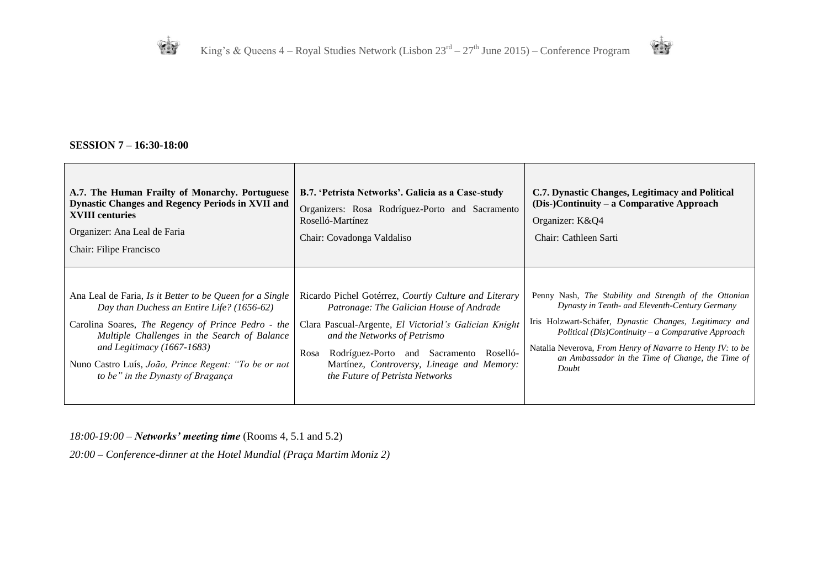

#### **SESSION 7 – 16:30-18:00**

| A.7. The Human Frailty of Monarchy. Portuguese<br><b>Dynastic Changes and Regency Periods in XVII and</b><br><b>XVIII</b> centuries<br>Organizer: Ana Leal de Faria<br>Chair: Filipe Francisco                                                                                                                                            | B.7. 'Petrista Networks'. Galicia as a Case-study<br>Organizers: Rosa Rodríguez-Porto and Sacramento<br>Roselló-Martínez<br>Chair: Covadonga Valdaliso                                                                                                                                                                         | C.7. Dynastic Changes, Legitimacy and Political<br>(Dis-)Continuity – a Comparative Approach<br>Organizer: K&Q4<br>Chair: Cathleen Sarti                                                                                                                                                                                                             |
|-------------------------------------------------------------------------------------------------------------------------------------------------------------------------------------------------------------------------------------------------------------------------------------------------------------------------------------------|--------------------------------------------------------------------------------------------------------------------------------------------------------------------------------------------------------------------------------------------------------------------------------------------------------------------------------|------------------------------------------------------------------------------------------------------------------------------------------------------------------------------------------------------------------------------------------------------------------------------------------------------------------------------------------------------|
| Ana Leal de Faria, Is it Better to be Queen for a Single<br>Day than Duchess an Entire Life? (1656-62)<br>Carolina Soares, The Regency of Prince Pedro - the<br>Multiple Challenges in the Search of Balance<br>and Legitimacy $(1667-1683)$<br>Nuno Castro Luís, João, Prince Regent: "To be or not<br>to be" in the Dynasty of Bragança | Ricardo Pichel Gotérrez, Courtly Culture and Literary<br>Patronage: The Galician House of Andrade<br>Clara Pascual-Argente, El Victorial's Galician Knight<br>and the Networks of Petrismo<br>Rodríguez-Porto and Sacramento Roselló-<br>Rosa<br>Martínez, Controversy, Lineage and Memory:<br>the Future of Petrista Networks | Penny Nash, The Stability and Strength of the Ottonian<br>Dynasty in Tenth- and Eleventh-Century Germany<br>Iris Holzwart-Schäfer, Dynastic Changes, Legitimacy and<br>Political (Dis)Continuity – a Comparative Approach<br>Natalia Neverova, From Henry of Navarre to Henty IV: to be<br>an Ambassador in the Time of Change, the Time of<br>Doubt |

*18:00-19:00 – Networks' meeting time* (Rooms 4, 5.1 and 5.2)

*20:00 – Conference-dinner at the Hotel Mundial (Praça Martim Moniz 2)*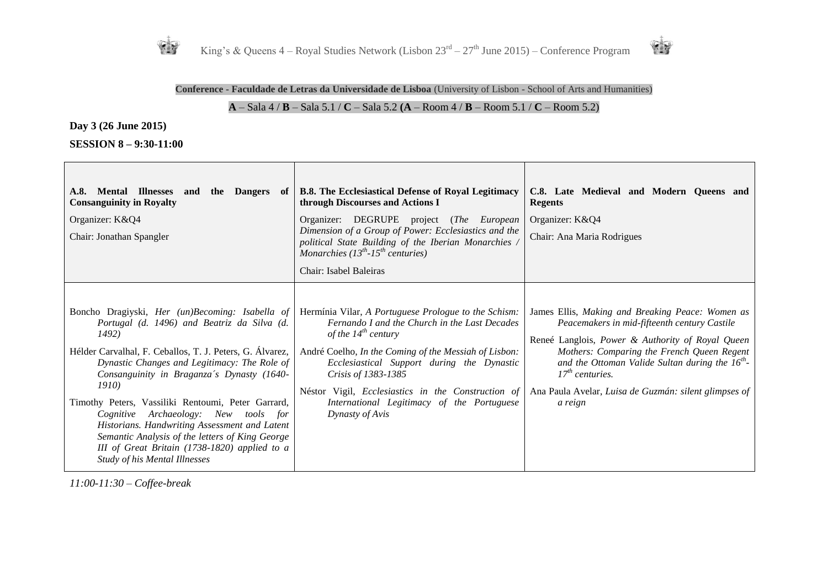



#### **Conference - Faculdade de Letras da Universidade de Lisboa** (University of Lisbon - School of Arts and Humanities)

## **A** – Sala 4 / **B** – Sala 5.1 / **C** – Sala 5.2 **(A** – Room 4 / **B** – Room 5.1 / **C** – Room 5.2)

┬

**Day 3 (26 June 2015)**

**The Company** 

**SESSION 8 – 9:30-11:00**

| A.8. Mental Illnesses<br><b>Dangers</b><br>the<br>and<br>of 1<br><b>Consanguinity in Royalty</b><br>Organizer: K&Q4<br>Chair: Jonathan Spangler                                                                                                                                                                                                                                                                                                                                                                                                                         | <b>B.8.</b> The Ecclesiastical Defense of Royal Legitimacy<br>through Discourses and Actions I<br>Organizer: DEGRUPE project (The European<br>Dimension of a Group of Power: Ecclesiastics and the<br>political State Building of the Iberian Monarchies<br>Monarchies $(13^{th} - 15^{th}$ centuries)<br>Chair: Isabel Baleiras                                                              | C.8. Late Medieval and Modern Queens and<br><b>Regents</b><br>Organizer: K&Q4<br>Chair: Ana Maria Rodrigues                                                                                                                                                                                                                                         |
|-------------------------------------------------------------------------------------------------------------------------------------------------------------------------------------------------------------------------------------------------------------------------------------------------------------------------------------------------------------------------------------------------------------------------------------------------------------------------------------------------------------------------------------------------------------------------|-----------------------------------------------------------------------------------------------------------------------------------------------------------------------------------------------------------------------------------------------------------------------------------------------------------------------------------------------------------------------------------------------|-----------------------------------------------------------------------------------------------------------------------------------------------------------------------------------------------------------------------------------------------------------------------------------------------------------------------------------------------------|
| Boncho Dragiyski, Her (un)Becoming: Isabella of<br>Portugal (d. 1496) and Beatriz da Silva (d.<br>1492)<br>Hélder Carvalhal, F. Ceballos, T. J. Peters, G. Álvarez,<br>Dynastic Changes and Legitimacy: The Role of<br>Consanguinity in Braganza's Dynasty (1640-<br><i>1910</i><br>Timothy Peters, Vassiliki Rentoumi, Peter Garrard,<br>Archaeology: New tools for<br>Cognitive<br>Historians. Handwriting Assessment and Latent<br>Semantic Analysis of the letters of King George<br>III of Great Britain (1738-1820) applied to a<br>Study of his Mental Illnesses | Hermínia Vilar, A Portuguese Prologue to the Schism:<br>Fernando I and the Church in the Last Decades<br>of the $14^{th}$ century<br>André Coelho, In the Coming of the Messiah of Lisbon:<br>Ecclesiastical Support during the Dynastic<br>Crisis of 1383-1385<br>Néstor Vigil, <i>Ecclesiastics</i> in the Construction of<br>International Legitimacy of the Portuguese<br>Dynasty of Avis | James Ellis, Making and Breaking Peace: Women as<br>Peacemakers in mid-fifteenth century Castile<br>Reneé Langlois, Power & Authority of Royal Queen<br>Mothers: Comparing the French Queen Regent<br>and the Ottoman Valide Sultan during the $16^{th}$ -<br>$17th$ centuries.<br>Ana Paula Avelar, Luisa de Guzmán: silent glimpses of<br>a reign |

*11:00-11:30 – Coffee-break*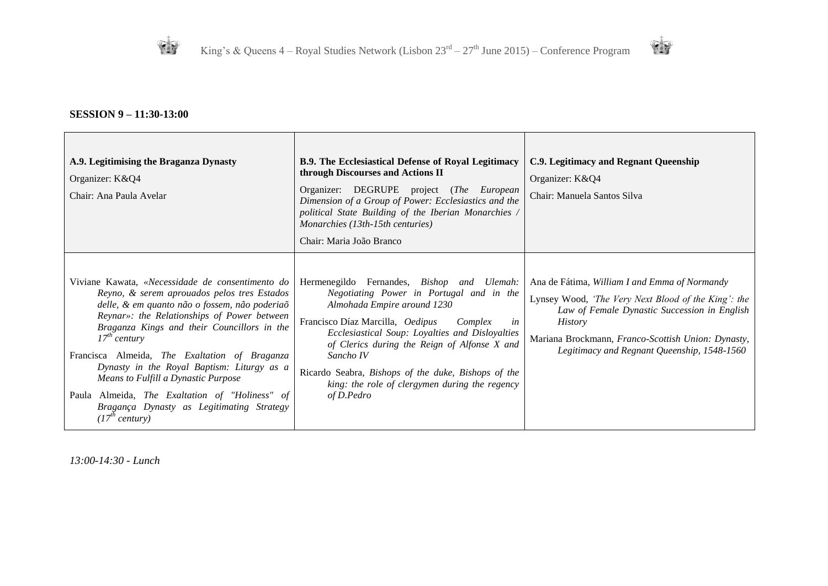



## **SESSION 9 – 11:30-13:00**

| A.9. Legitimising the Braganza Dynasty<br>Organizer: K&Q4<br>Chair: Ana Paula Avelar                                                                                                                                                                                                                                                                                                                                                                                                                                                   | <b>B.9. The Ecclesiastical Defense of Royal Legitimacy</b><br>through Discourses and Actions II<br>Organizer: DEGRUPE project (The European<br>Dimension of a Group of Power: Ecclesiastics and the<br>political State Building of the Iberian Monarchies /<br>Monarchies (13th-15th centuries)<br>Chair: Maria João Branco                                                                                               | C.9. Legitimacy and Regnant Queenship<br>Organizer: K&Q4<br>Chair: Manuela Santos Silva                                                                                                                                                                                     |
|----------------------------------------------------------------------------------------------------------------------------------------------------------------------------------------------------------------------------------------------------------------------------------------------------------------------------------------------------------------------------------------------------------------------------------------------------------------------------------------------------------------------------------------|---------------------------------------------------------------------------------------------------------------------------------------------------------------------------------------------------------------------------------------------------------------------------------------------------------------------------------------------------------------------------------------------------------------------------|-----------------------------------------------------------------------------------------------------------------------------------------------------------------------------------------------------------------------------------------------------------------------------|
| Viviane Kawata, «Necessidade de consentimento do<br>Reyno, & serem aprouados pelos tres Estados<br>delle, & em quanto não o fossem, não poderiaõ<br>Reynar»: the Relationships of Power between<br>Braganza Kings and their Councillors in the<br>$17^{th}$ century<br>Francisca Almeida, The Exaltation of Braganza<br>Dynasty in the Royal Baptism: Liturgy as a<br>Means to Fulfill a Dynastic Purpose<br>Paula Almeida, The Exaltation of "Holiness" of<br>Bragança Dynasty as Legitimating Strategy<br>(17 <sup>th</sup> century) | Hermenegildo Fernandes, <i>Bishop and Ulemah</i> :<br>Negotiating Power in Portugal and in the<br>Almohada Empire around 1230<br>Francisco Díaz Marcilla, Oedipus<br>Complex<br>in<br>Ecclesiastical Soup: Loyalties and Disloyalties<br>of Clerics during the Reign of Alfonse X and<br>Sancho IV<br>Ricardo Seabra, Bishops of the duke, Bishops of the<br>king: the role of clergymen during the regency<br>of D.Pedro | Ana de Fátima, William I and Emma of Normandy<br>Lynsey Wood, 'The Very Next Blood of the King': the<br>Law of Female Dynastic Succession in English<br><i>History</i><br>Mariana Brockmann, Franco-Scottish Union: Dynasty,<br>Legitimacy and Regnant Queenship, 1548-1560 |

*13:00-14:30 - Lunch*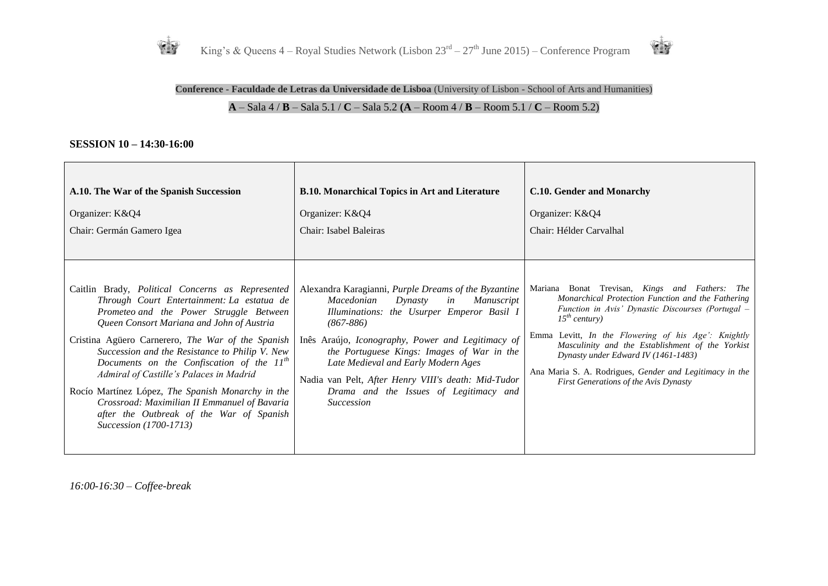



## **Conference - Faculdade de Letras da Universidade de Lisboa** (University of Lisbon - School of Arts and Humanities) **A** – Sala 4 / **B** – Sala 5.1 / **C** – Sala 5.2 **(A** – Room 4 / **B** – Room 5.1 / **C** – Room 5.2)

#### **SESSION 10 – 14:30-16:00**

| A.10. The War of the Spanish Succession                                                                                                                                                                                                                                                                                                                                                                                                                                                                                                                                   | <b>B.10. Monarchical Topics in Art and Literature</b>                                                                                                                                                                                                                                                                                                                                                                                   | C.10. Gender and Monarchy                                                                                                                                                                                                                                                                                                                                                                                                                      |
|---------------------------------------------------------------------------------------------------------------------------------------------------------------------------------------------------------------------------------------------------------------------------------------------------------------------------------------------------------------------------------------------------------------------------------------------------------------------------------------------------------------------------------------------------------------------------|-----------------------------------------------------------------------------------------------------------------------------------------------------------------------------------------------------------------------------------------------------------------------------------------------------------------------------------------------------------------------------------------------------------------------------------------|------------------------------------------------------------------------------------------------------------------------------------------------------------------------------------------------------------------------------------------------------------------------------------------------------------------------------------------------------------------------------------------------------------------------------------------------|
| Organizer: K&Q4                                                                                                                                                                                                                                                                                                                                                                                                                                                                                                                                                           | Organizer: K&Q4                                                                                                                                                                                                                                                                                                                                                                                                                         | Organizer: K&Q4                                                                                                                                                                                                                                                                                                                                                                                                                                |
| Chair: Germán Gamero Igea                                                                                                                                                                                                                                                                                                                                                                                                                                                                                                                                                 | Chair: Isabel Baleiras                                                                                                                                                                                                                                                                                                                                                                                                                  | Chair: Hélder Carvalhal                                                                                                                                                                                                                                                                                                                                                                                                                        |
| Caitlin Brady, <i>Political Concerns as Represented</i><br>Through Court Entertainment: La estatua de<br>Prometeo and the Power Struggle Between<br>Queen Consort Mariana and John of Austria<br>Cristina Agüero Carnerero, The War of the Spanish<br>Succession and the Resistance to Philip V. New<br>Documents on the Confiscation of the $11th$<br>Admiral of Castille's Palaces in Madrid<br>Rocío Martínez López, The Spanish Monarchy in the<br>Crossroad: Maximilian II Emmanuel of Bavaria<br>after the Outbreak of the War of Spanish<br>Succession (1700-1713) | Alexandra Karagianni, Purple Dreams of the Byzantine<br>Macedonian<br>in<br><i>Manuscript</i><br>Dynasty<br>Illuminations: the Usurper Emperor Basil I<br>$(867 - 886)$<br>Inês Araújo, Iconography, Power and Legitimacy of<br>the Portuguese Kings: Images of War in the<br>Late Medieval and Early Modern Ages<br>Nadia van Pelt, After Henry VIII's death: Mid-Tudor<br>Drama and the Issues of Legitimacy and<br><i>Succession</i> | Mariana Bonat Trevisan, Kings and Fathers:<br><i>The</i><br>Monarchical Protection Function and the Fathering<br>Function in Avis' Dynastic Discourses (Portugal -<br>$15^{th}$ century)<br>Emma Levitt, In the Flowering of his Age': Knightly<br>Masculinity and the Establishment of the Yorkist<br>Dynasty under Edward IV (1461-1483)<br>Ana Maria S. A. Rodrigues, Gender and Legitimacy in the<br>First Generations of the Avis Dynasty |

*16:00-16:30 – Coffee-break*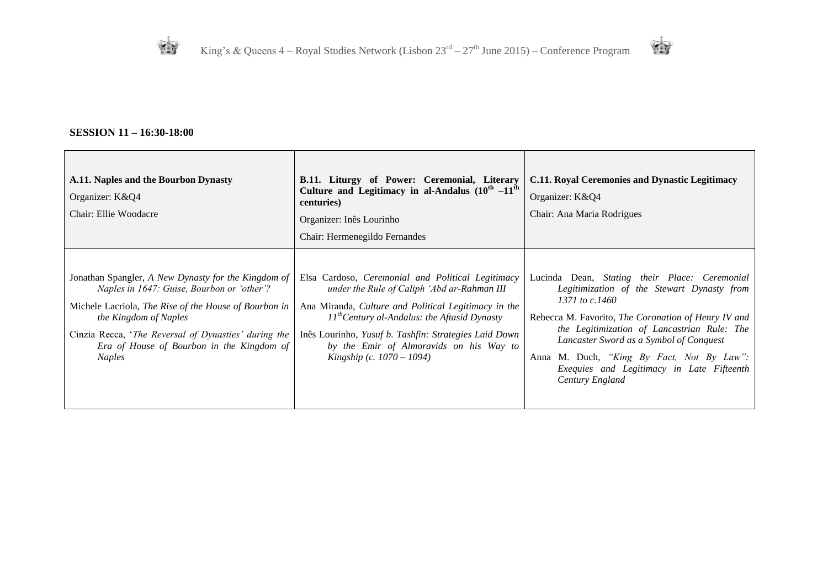



## **SESSION 11 – 16:30-18:00**

| A.11. Naples and the Bourbon Dynasty<br>Organizer: K&Q4<br>Chair: Ellie Woodacre                                                                                                                                                                                                                          | B.11. Liturgy of Power: Ceremonial, Literary<br>Culture and Legitimacy in al-Andalus $(10^{th} -11^{th}$<br>centuries)<br>Organizer: Inês Lourinho<br>Chair: Hermenegildo Fernandes                                                                                                                                                               | <b>C.11. Royal Ceremonies and Dynastic Legitimacy</b><br>Organizer: K&Q4<br>Chair: Ana Maria Rodrigues                                                                                                                                                                                                                                                                               |
|-----------------------------------------------------------------------------------------------------------------------------------------------------------------------------------------------------------------------------------------------------------------------------------------------------------|---------------------------------------------------------------------------------------------------------------------------------------------------------------------------------------------------------------------------------------------------------------------------------------------------------------------------------------------------|--------------------------------------------------------------------------------------------------------------------------------------------------------------------------------------------------------------------------------------------------------------------------------------------------------------------------------------------------------------------------------------|
| Jonathan Spangler, A New Dynasty for the Kingdom of<br>Naples in 1647: Guise, Bourbon or 'other'?<br>Michele Lacriola, The Rise of the House of Bourbon in<br>the Kingdom of Naples<br>Cinzia Recca, 'The Reversal of Dynasties' during the<br>Era of House of Bourbon in the Kingdom of<br><b>Naples</b> | Elsa Cardoso, Ceremonial and Political Legitimacy<br>under the Rule of Caliph 'Abd ar-Rahman III<br>Ana Miranda, Culture and Political Legitimacy in the<br>$11^{th}$ Century al-Andalus: the Aftasid Dynasty<br>Inês Lourinho, Yusuf b. Tashfin: Strategies Laid Down<br>by the Emir of Almoravids on his Way to<br>Kingship (c. $1070 - 1094$ ) | Lucinda Dean, Stating their Place: Ceremonial<br>Legitimization of the Stewart Dynasty from<br>1371 to $c.1460$<br>Rebecca M. Favorito, <i>The Coronation of Henry IV and</i><br>the Legitimization of Lancastrian Rule: The<br>Lancaster Sword as a Symbol of Conquest<br>Anna M. Duch, "King By Fact, Not By Law":<br>Exequies and Legitimacy in Late Fifteenth<br>Century England |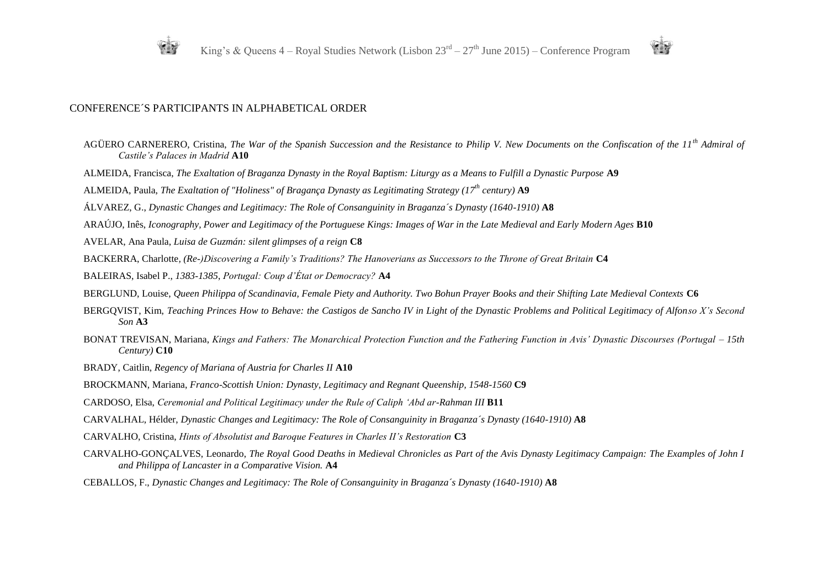



#### CONFERENCE´S PARTICIPANTS IN ALPHABETICAL ORDER

- AGÜERO CARNERERO, Cristina, *The War of the Spanish Succession and the Resistance to Philip V. New Documents on the Confiscation of the 11th Admiral of Castile's Palaces in Madrid* **A10**
- ALMEIDA, Francisca, *The Exaltation of Braganza Dynasty in the Royal Baptism: Liturgy as a Means to Fulfill a Dynastic Purpose* **A9**
- ALMEIDA, Paula, *The Exaltation of "Holiness" of Bragança Dynasty as Legitimating Strategy (17th century)* **A9**
- ÁLVAREZ, G., *Dynastic Changes and Legitimacy: The Role of Consanguinity in Braganza´s Dynasty (1640-1910)* **A8**
- ARAÚJO, Inês, *Iconography, Power and Legitimacy of the Portuguese Kings: Images of War in the Late Medieval and Early Modern Ages* **B10**
- AVELAR, Ana Paula, *Luisa de Guzmán: silent glimpses of a reign* **C8**
- BACKERRA, Charlotte*, (Re-)Discovering a Family's Traditions? The Hanoverians as Successors to the Throne of Great Britain* **C4**
- BALEIRAS, Isabel P., *1383-1385*, *Portugal: Coup d'État or Democracy?* **A4**
- BERGLUND, Louise, *Queen Philippa of Scandinavia, Female Piety and Authority. Two Bohun Prayer Books and their Shifting Late Medieval Contexts* **C6**
- BERGQVIST, Kim, *Teaching Princes How to Behave: the Castigos de Sancho IV in Light of the Dynastic Problems and Political Legitimacy of Alfonso X's Second Son* **A3**
- BONAT TREVISAN, Mariana, *Kings and Fathers: The Monarchical Protection Function and the Fathering Function in Avis' Dynastic Discourses (Portugal – 15th Century)* **C10**
- BRADY, Caitlin, *Regency of Mariana of Austria for Charles II* **A10**
- BROCKMANN, Mariana, *Franco-Scottish Union: Dynasty, Legitimacy and Regnant Queenship, 1548-1560* **C9**
- CARDOSO, Elsa, *Ceremonial and Political Legitimacy under the Rule of Caliph 'Abd ar-Rahman III* **B11**
- CARVALHAL, Hélder, *Dynastic Changes and Legitimacy: The Role of Consanguinity in Braganza´s Dynasty (1640-1910)* **A8**
- CARVALHO, Cristina, *Hints of Absolutist and Baroque Features in Charles II's Restoration* **C3**
- CARVALHO-GONÇALVES, Leonardo, *The Royal Good Deaths in Medieval Chronicles as Part of the Avis Dynasty Legitimacy Campaign: The Examples of John I and Philippa of Lancaster in a Comparative Vision.* **A4**
- CEBALLOS, F., *Dynastic Changes and Legitimacy: The Role of Consanguinity in Braganza´s Dynasty (1640-1910)* **A8**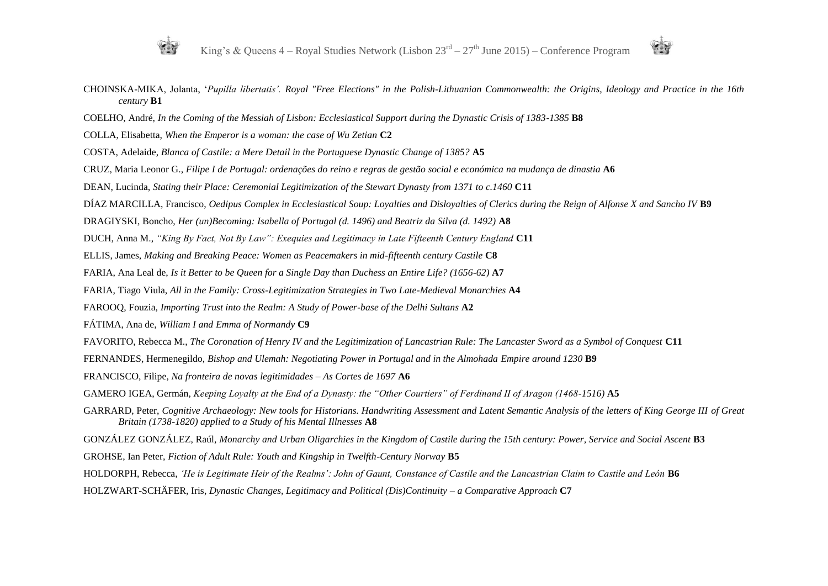



- CHOINSKA-MIKA, Jolanta, '*Pupilla libertatis'. Royal "Free Elections" in the Polish-Lithuanian Commonwealth: the Origins, Ideology and Practice in the 16th century* **B1**
- COELHO, André, *In the Coming of the Messiah of Lisbon: Ecclesiastical Support during the Dynastic Crisis of 1383-1385* **B8**
- COLLA, Elisabetta, *When the Emperor is a woman: the case of Wu Zetian* **C2**
- COSTA, Adelaide, *Blanca of Castile: a Mere Detail in the Portuguese Dynastic Change of 1385?* **A5**
- CRUZ, Maria Leonor G., *Filipe I de Portugal: ordenações do reino e regras de gestão social e económica na mudança de dinastia* **A6**
- DEAN, Lucinda, *Stating their Place: Ceremonial Legitimization of the Stewart Dynasty from 1371 to c.1460* **C11**
- DÍAZ MARCILLA, Francisco, *Oedipus Complex in Ecclesiastical Soup: Loyalties and Disloyalties of Clerics during the Reign of Alfonse X and Sancho IV* **B9**
- DRAGIYSKI, Boncho, *Her (un)Becoming: Isabella of Portugal (d. 1496) and Beatriz da Silva (d. 1492)* **A8**
- DUCH, Anna M., *"King By Fact, Not By Law": Exequies and Legitimacy in Late Fifteenth Century England* **C11**
- ELLIS, James, *Making and Breaking Peace: Women as Peacemakers in mid-fifteenth century Castile* **C8**
- FARIA, Ana Leal de, *Is it Better to be Queen for a Single Day than Duchess an Entire Life? (1656-62)* **A7**
- FARIA, Tiago Viula, *All in the Family: Cross-Legitimization Strategies in Two Late-Medieval Monarchies* **A4**
- FAROOQ, Fouzia, *Importing Trust into the Realm: A Study of Power-base of the Delhi Sultans* **A2**
- FÁTIMA, Ana de, *William I and Emma of Normandy* **C9**
- FAVORITO, Rebecca M., *The Coronation of Henry IV and the Legitimization of Lancastrian Rule: The Lancaster Sword as a Symbol of Conquest* **C11**
- FERNANDES, Hermenegildo, *Bishop and Ulemah: Negotiating Power in Portugal and in the Almohada Empire around 1230* **B9**
- FRANCISCO, Filipe, *Na fronteira de novas legitimidades – As Cortes de 1697* **A6**
- GAMERO IGEA, Germán, *Keeping Loyalty at the End of a Dynasty: the "Other Courtiers" of Ferdinand II of Aragon (1468-1516)* **A5**
- GARRARD, Peter, *Cognitive Archaeology: New tools for Historians. Handwriting Assessment and Latent Semantic Analysis of the letters of King George III of Great Britain (1738-1820) applied to a Study of his Mental Illnesses* **A8**
- GONZÁLEZ GONZÁLEZ, Raúl, *Monarchy and Urban Oligarchies in the Kingdom of Castile during the 15th century: Power, Service and Social Ascent* **B3**
- GROHSE, Ian Peter, *Fiction of Adult Rule: Youth and Kingship in Twelfth-Century Norway* **B5**
- HOLDORPH, Rebecca, *'He is Legitimate Heir of the Realms': John of Gaunt, Constance of Castile and the Lancastrian Claim to Castile and León* **B6**
- HOLZWART-SCHÄFER, Iris, *Dynastic Changes, Legitimacy and Political (Dis)Continuity – a Comparative Approach* **C7**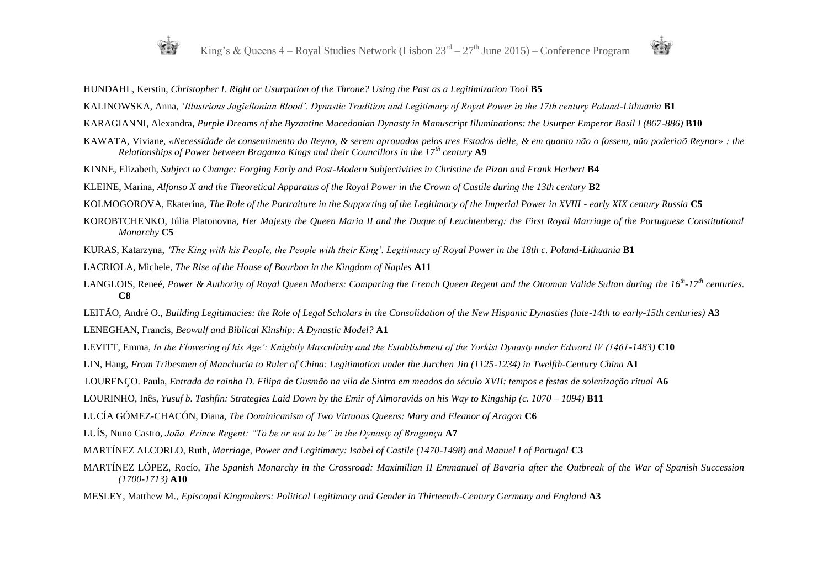

#### HUNDAHL, Kerstin, *Christopher I. Right or Usurpation of the Throne? Using the Past as a Legitimization Tool* **B5**

KALINOWSKA, Anna, *'Illustrious Jagiellonian Blood'. Dynastic Tradition and Legitimacy of Royal Power in the 17th century Poland-Lithuania* **B1**

KARAGIANNI, Alexandra, *Purple Dreams of the Byzantine Macedonian Dynasty in Manuscript Illuminations: the Usurper Emperor Basil I (867-886)* **B10**

- KAWATA, Viviane, *«Necessidade de consentimento do Reyno, & serem aprouados pelos tres Estados delle, & em quanto não o fossem, não poderiaõ Reynar» : the Relationships of Power between Braganza Kings and their Councillors in the 17th century* **A9**
- KINNE, Elizabeth, *Subject to Change: Forging Early and Post-Modern Subjectivities in Christine de Pizan and Frank Herbert* **B4**

KLEINE, Marina, *Alfonso X and the Theoretical Apparatus of the Royal Power in the Crown of Castile during the 13th century* **B2**

KOLMOGOROVA, Ekaterina, *The Role of the Portraiture in the Supporting of the Legitimacy of the Imperial Power in XVIII - early XIX century Russia* **C5**

- KOROBTCHENKO, Júlia Platonovna, *Her Majesty the Queen Maria II and the Duque of Leuchtenberg: the First Royal Marriage of the Portuguese Constitutional Monarchy* **C5**
- KURAS, Katarzyna, *'The King with his People, the People with their King'. Legitimacy of Royal Power in the 18th c. Poland-Lithuania* **B1**

LACRIOLA, Michele, *The Rise of the House of Bourbon in the Kingdom of Naples* **A11**

LANGLOIS, Reneé, *Power & Authority of Royal Queen Mothers: Comparing the French Queen Regent and the Ottoman Valide Sultan during the 16th -17th centuries.*  **C8**

LEITÃO, André O., *Building Legitimacies: the Role of Legal Scholars in the Consolidation of the New Hispanic Dynasties (late-14th to early-15th centuries)* **A3**

LENEGHAN, Francis, *Beowulf and Biblical Kinship: A Dynastic Model?* **A1**

- LEVITT, Emma, *In the Flowering of his Age': Knightly Masculinity and the Establishment of the Yorkist Dynasty under Edward IV (1461-1483)* **C10**
- LIN, Hang, *From Tribesmen of Manchuria to Ruler of China: Legitimation under the Jurchen Jin (1125-1234) in Twelfth-Century China* **A1**
- LOURENÇO. Paula, *Entrada da rainha D. Filipa de Gusmão na vila de Sintra em meados do século XVII: tempos e festas de solenização ritual* **A6**
- LOURINHO, Inês, *Yusuf b. Tashfin: Strategies Laid Down by the Emir of Almoravids on his Way to Kingship (c. 1070 – 1094)* **B11**

LUCÍA GÓMEZ-CHACÓN, Diana, *The Dominicanism of Two Virtuous Queens: Mary and Eleanor of Aragon* **C6**

LUÍS, Nuno Castro, *João, Prince Regent: "To be or not to be" in the Dynasty of Bragança* **A7**

MARTÍNEZ ALCORLO, Ruth, *Marriage, Power and Legitimacy: Isabel of Castile (1470-1498) and Manuel I of Portugal* **C3**

- MARTÍNEZ LÓPEZ, Rocío, *The Spanish Monarchy in the Crossroad: Maximilian II Emmanuel of Bavaria after the Outbreak of the War of Spanish Succession (1700-1713)* **A10**
- MESLEY, Matthew M., *Episcopal Kingmakers: Political Legitimacy and Gender in Thirteenth-Century Germany and England* **A3**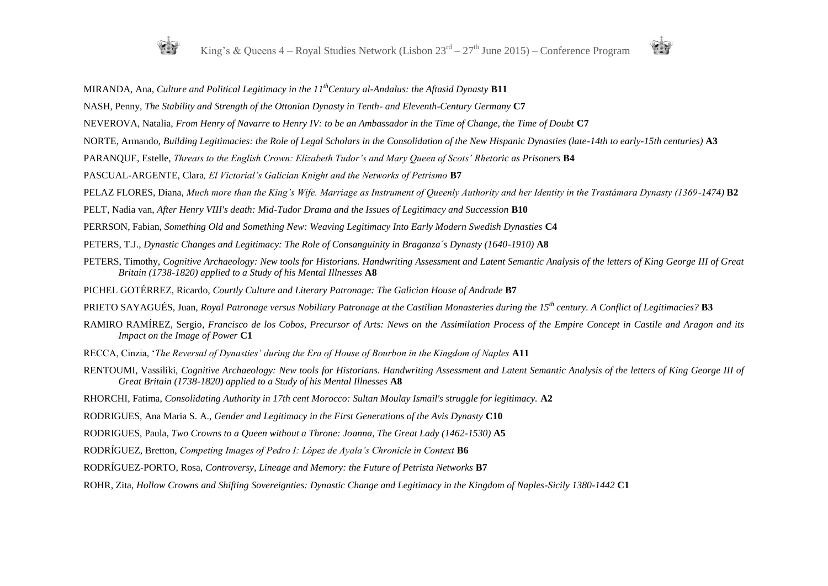



MIRANDA, Ana, *Culture and Political Legitimacy in the 11thCentury al-Andalus: the Aftasid Dynasty* **B11**

- NASH, Penny, *The Stability and Strength of the Ottonian Dynasty in Tenth- and Eleventh-Century Germany* **C7**
- NEVEROVA, Natalia, *From Henry of Navarre to Henry IV: to be an Ambassador in the Time of Change, the Time of Doubt* **C7**
- NORTE, Armando, *Building Legitimacies: the Role of Legal Scholars in the Consolidation of the New Hispanic Dynasties (late-14th to early-15th centuries)* **A3**
- PARANQUE, Estelle, *Threats to the English Crown: Elizabeth Tudor's and Mary Queen of Scots' Rhetoric as Prisoners* **B4**
- PASCUAL-ARGENTE, Clara*, El Victorial's Galician Knight and the Networks of Petrismo* **B7**
- PELAZ FLORES, Diana, *Much more than the King's Wife. Marriage as Instrument of Queenly Authority and her Identity in the Trastámara Dynasty (1369-1474)* **B2**
- PELT, Nadia van, *After Henry VIII's death: Mid-Tudor Drama and the Issues of Legitimacy and Succession* **B10**
- PERRSON, Fabian, *Something Old and Something New: Weaving Legitimacy Into Early Modern Swedish Dynasties* **C4**
- PETERS, T.J., *Dynastic Changes and Legitimacy: The Role of Consanguinity in Braganza's Dynasty (1640-1910)* **A8**
- PETERS, Timothy, *Cognitive Archaeology: New tools for Historians. Handwriting Assessment and Latent Semantic Analysis of the letters of King George III of Great Britain (1738-1820) applied to a Study of his Mental Illnesses* **A8**
- PICHEL GOTÉRREZ, Ricardo, *Courtly Culture and Literary Patronage: The Galician House of Andrade* **B7**
- PRIETO SAYAGUÉS, Juan, *Royal Patronage versus Nobiliary Patronage at the Castilian Monasteries during the 15th century. A Conflict of Legitimacies?* **B3**
- RAMIRO RAMÍREZ, Sergio, *Francisco de los Cobos, Precursor of Arts: News on the Assimilation Process of the Empire Concept in Castile and Aragon and its Impact on the Image of Power* **C1**
- RECCA, Cinzia, '*The Reversal of Dynasties' during the Era of House of Bourbon in the Kingdom of Naples* **A11**
- RENTOUMI, Vassiliki, *Cognitive Archaeology: New tools for Historians. Handwriting Assessment and Latent Semantic Analysis of the letters of King George III of Great Britain (1738-1820) applied to a Study of his Mental Illnesses* **A8**
- RHORCHI, Fatima, *Consolidating Authority in 17th cent Morocco: Sultan Moulay Ismail's struggle for legitimacy.* **A2**
- RODRIGUES, Ana Maria S. A., *Gender and Legitimacy in the First Generations of the Avis Dynasty* **C10**
- RODRIGUES, Paula, *Two Crowns to a Queen without a Throne: Joanna, The Great Lady (1462-1530)* A5
- RODRÍGUEZ, Bretton, *Competing Images of Pedro I: López de Ayala's Chronicle in Context* **B6**
- RODRÍGUEZ-PORTO, Rosa, *Controversy, Lineage and Memory: the Future of Petrista Networks* **B7**
- ROHR, Zita, *Hollow Crowns and Shifting Sovereignties: Dynastic Change and Legitimacy in the Kingdom of Naples-Sicily 1380-1442* **C1**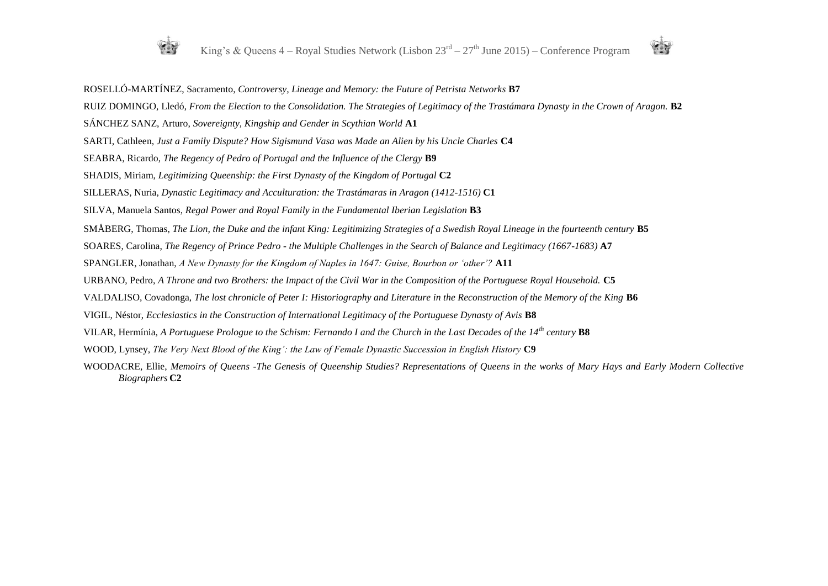

ROSELLÓ-MARTÍNEZ, Sacramento, *Controversy, Lineage and Memory: the Future of Petrista Networks* **B7** RUIZ DOMINGO, Lledó, *From the Election to the Consolidation. The Strategies of Legitimacy of the Trastámara Dynasty in the Crown of Aragon.* **B2** SÁNCHEZ SANZ, Arturo, *Sovereignty, Kingship and Gender in Scythian World* **A1** SARTI, Cathleen, *Just a Family Dispute? How Sigismund Vasa was Made an Alien by his Uncle Charles* **C4** SEABRA, Ricardo, *The Regency of Pedro of Portugal and the Influence of the Clergy* **B9** SHADIS, Miriam, *Legitimizing Queenship: the First Dynasty of the Kingdom of Portugal* **C2** SILLERAS, Nuria, *Dynastic Legitimacy and Acculturation: the Trastámaras in Aragon (1412-1516)* **C1** SILVA, Manuela Santos, *Regal Power and Royal Family in the Fundamental Iberian Legislation* **B3** SMÅBERG, Thomas, *The Lion, the Duke and the infant King: Legitimizing Strategies of a Swedish Royal Lineage in the fourteenth century* **B5** SOARES, Carolina, *The Regency of Prince Pedro - the Multiple Challenges in the Search of Balance and Legitimacy (1667-1683)* **A7** SPANGLER, Jonathan, *A New Dynasty for the Kingdom of Naples in 1647: Guise, Bourbon or 'other'?* **A11** URBANO, Pedro, *A Throne and two Brothers: the Impact of the Civil War in the Composition of the Portuguese Royal Household.* **C5** VALDALISO, Covadonga, *The lost chronicle of Peter I: Historiography and Literature in the Reconstruction of the Memory of the King* **B6** VIGIL, Néstor, *Ecclesiastics in the Construction of International Legitimacy of the Portuguese Dynasty of Avis* **B8** VILAR, Hermínia, *A Portuguese Prologue to the Schism: Fernando I and the Church in the Last Decades of the 14th century* **B8** WOOD, Lynsey, *The Very Next Blood of the King': the Law of Female Dynastic Succession in English History* **C9** WOODACRE, Ellie, *Memoirs of Queens -The Genesis of Queenship Studies? Representations of Queens in the works of Mary Hays and Early Modern Collective Biographers* **C2**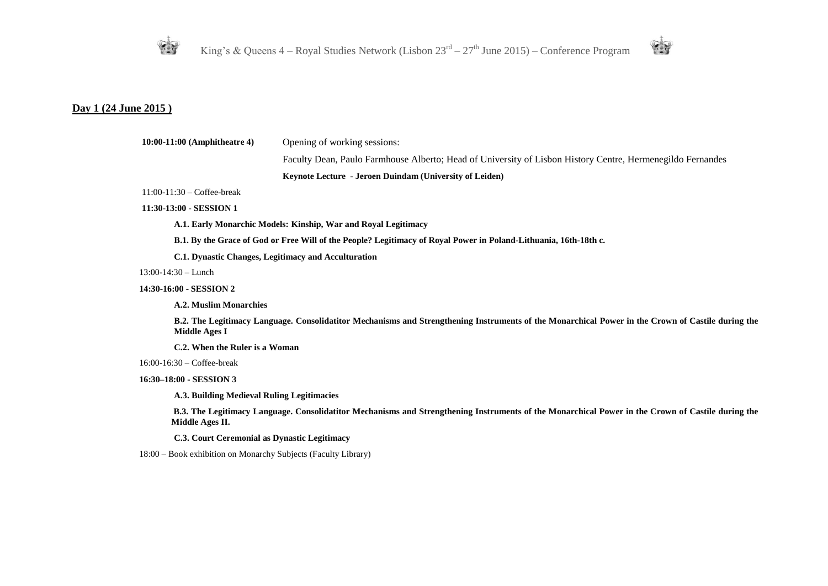



## **Day 1 (24 June 2015 )**

| $10:00-11:00$ (Amphitheatre 4)                                 | Opening of working sessions:                                                                                                                      |
|----------------------------------------------------------------|---------------------------------------------------------------------------------------------------------------------------------------------------|
|                                                                | Faculty Dean, Paulo Farmhouse Alberto; Head of University of Lisbon History Centre, Hermenegildo Fernandes                                        |
|                                                                | Keynote Lecture - Jeroen Duindam (University of Leiden)                                                                                           |
| $11:00-11:30$ – Coffee-break                                   |                                                                                                                                                   |
| 11:30-13:00 - SESSION 1                                        |                                                                                                                                                   |
|                                                                | A.1. Early Monarchic Models: Kinship, War and Royal Legitimacy                                                                                    |
|                                                                | B.1. By the Grace of God or Free Will of the People? Legitimacy of Royal Power in Poland-Lithuania, 16th-18th c.                                  |
| C.1. Dynastic Changes, Legitimacy and Acculturation            |                                                                                                                                                   |
| $13:00-14:30$ - Lunch                                          |                                                                                                                                                   |
| 14:30-16:00 - SESSION 2                                        |                                                                                                                                                   |
| <b>A.2. Muslim Monarchies</b>                                  |                                                                                                                                                   |
| Middle Ages I                                                  | B.2. The Legitimacy Language. Consolidatitor Mechanisms and Strengthening Instruments of the Monarchical Power in the Crown of Castile during the |
| C.2. When the Ruler is a Woman                                 |                                                                                                                                                   |
| $16:00-16:30$ – Coffee-break                                   |                                                                                                                                                   |
| 16:30-18:00 - SESSION 3                                        |                                                                                                                                                   |
| A.3. Building Medieval Ruling Legitimacies                     |                                                                                                                                                   |
| Middle Ages II.                                                | B.3. The Legitimacy Language. Consolidatitor Mechanisms and Strengthening Instruments of the Monarchical Power in the Crown of Castile during the |
| C.3. Court Ceremonial as Dynastic Legitimacy                   |                                                                                                                                                   |
| 18:00 – Book exhibition on Monarchy Subjects (Faculty Library) |                                                                                                                                                   |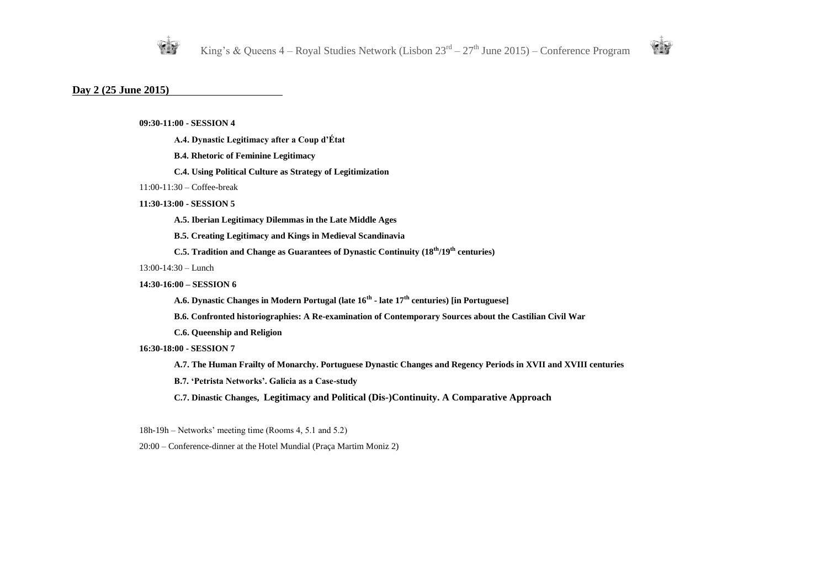



#### **Day 2 (25 June 2015)**

**09:30-11:00 - SESSION 4** 

- **A.4. Dynastic Legitimacy after a Coup d'État**
- **B.4. Rhetoric of Feminine Legitimacy**
- **C.4. Using Political Culture as Strategy of Legitimization**
- 11:00-11:30 Coffee-break
- **11:30-13:00 - SESSION 5** 
	- **A.5. Iberian Legitimacy Dilemmas in the Late Middle Ages**
	- **B.5. Creating Legitimacy and Kings in Medieval Scandinavia**
	- **C.5. Tradition and Change as Guarantees of Dynastic Continuity (18th/19th centuries)**
- 13:00-14:30 Lunch
- **14:30-16:00 – SESSION 6**
	- **A.6. Dynastic Changes in Modern Portugal (late 16th - late 17th centuries) [in Portuguese]**
	- **B.6. Confronted historiographies: A Re-examination of Contemporary Sources about the Castilian Civil War**
	- **C.6. Queenship and Religion**

#### **16:30-18:00 - SESSION 7**

- **A.7. The Human Frailty of Monarchy. Portuguese Dynastic Changes and Regency Periods in XVII and XVIII centuries**
- **B.7. 'Petrista Networks'. Galicia as a Case-study**
- **C.7. Dinastic Changes, Legitimacy and Political (Dis-)Continuity. A Comparative Approach**
- 18h-19h Networks' meeting time (Rooms 4, 5.1 and 5.2)
- 20:00 Conference-dinner at the Hotel Mundial (Praça Martim Moniz 2)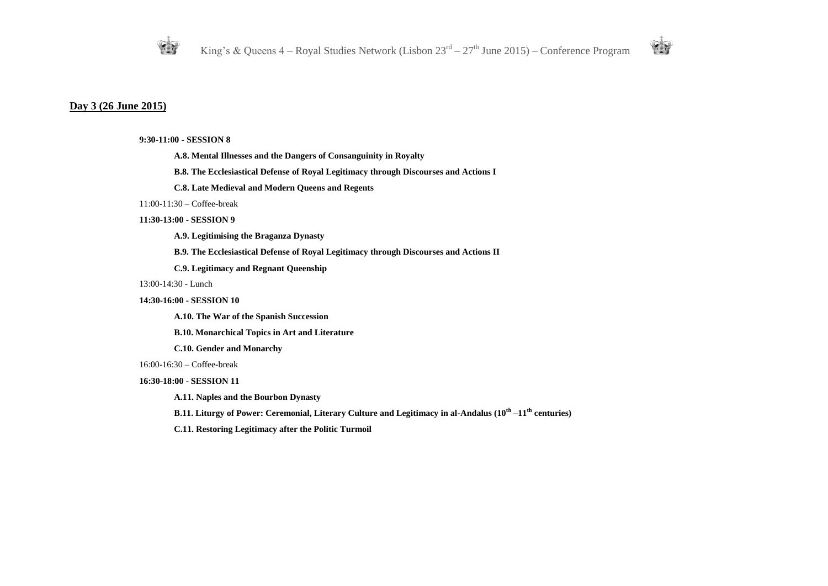



#### **Day 3 (26 June 2015)**

#### **9:30-11:00 - SESSION 8**

- **A.8. Mental Illnesses and the Dangers of Consanguinity in Royalty**
- **B.8. The Ecclesiastical Defense of Royal Legitimacy through Discourses and Actions I**
- **C.8. Late Medieval and Modern Queens and Regents**

#### 11:00-11:30 – Coffee-break

#### **11:30-13:00 - SESSION 9**

- **A.9. Legitimising the Braganza Dynasty**
- **B.9. The Ecclesiastical Defense of Royal Legitimacy through Discourses and Actions II**
- **C.9. Legitimacy and Regnant Queenship**

#### 13:00-14:30 - Lunch

#### **14:30-16:00 - SESSION 10**

**A.10. The War of the Spanish Succession** 

**B.10. Monarchical Topics in Art and Literature** 

**C.10. Gender and Monarchy**

16:00-16:30 – Coffee-break

#### **16:30-18:00 - SESSION 11**

**A.11. Naples and the Bourbon Dynasty** 

**B.11. Liturgy of Power: Ceremonial, Literary Culture and Legitimacy in al-Andalus (10th –11th centuries)** 

**C.11. Restoring Legitimacy after the Politic Turmoil**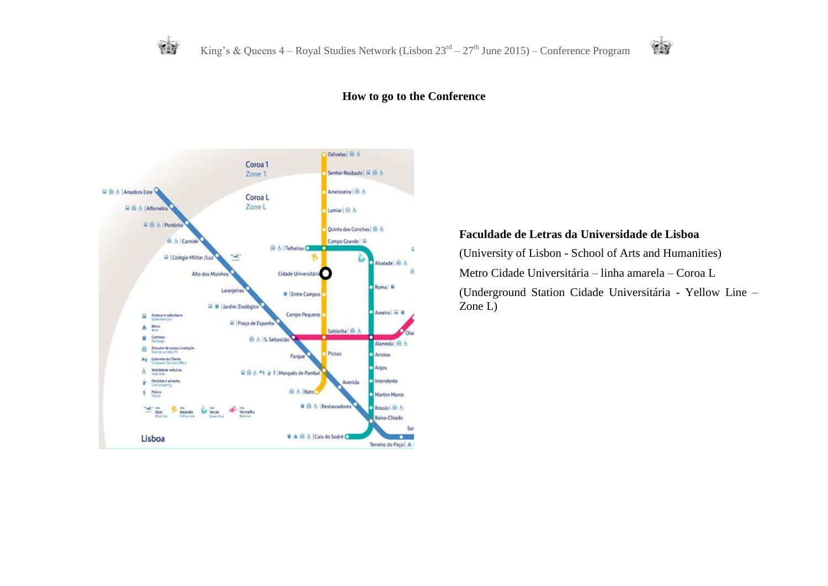



## **How to go to the Conference**



## **Faculdade de Letras da Universidade de Lisboa**

(University of Lisbon - School of Arts and Humanities)

Metro Cidade Universitária – linha amarela – Coroa L

(Underground Station Cidade Universitária - Yellow Line – Zone L)